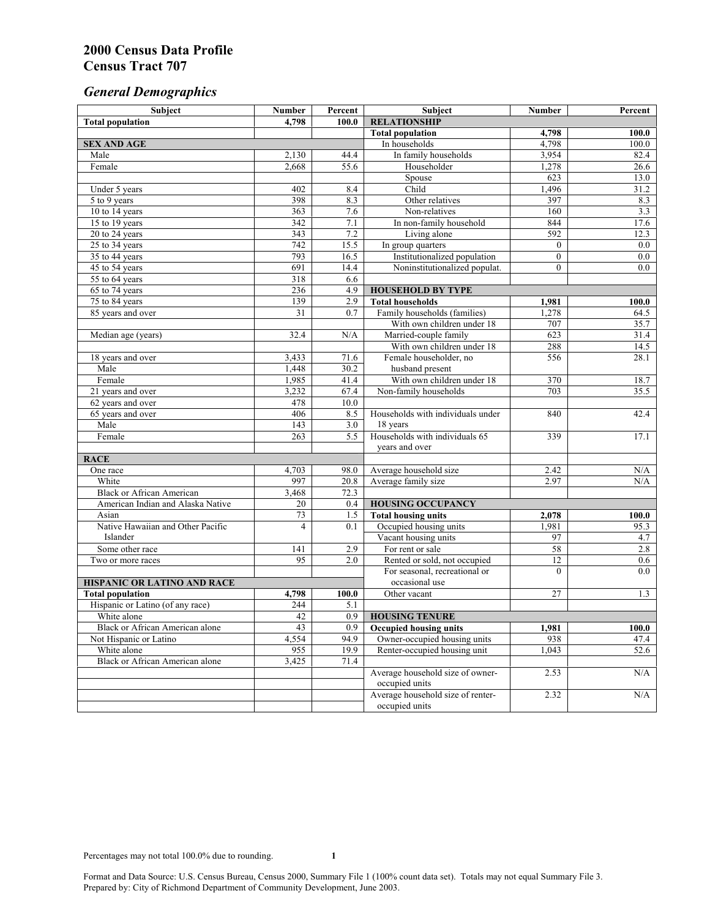# *General Demographics*

| Subject                           | <b>Number</b>   | Percent | Subject                           | <b>Number</b>  | Percent   |
|-----------------------------------|-----------------|---------|-----------------------------------|----------------|-----------|
| <b>Total population</b>           | 4,798           | 100.0   | <b>RELATIONSHIP</b>               |                |           |
|                                   |                 |         | <b>Total population</b>           | 4,798          | 100.0     |
| <b>SEX AND AGE</b>                |                 |         | In households                     | 4,798          | 100.0     |
| Male                              | 2,130           | 44.4    | In family households              | 3,954          | 82.4      |
| Female                            | 2,668           | 55.6    | Householder                       | 1,278          | 26.6      |
|                                   |                 |         | Spouse                            | 623            | 13.0      |
| Under 5 years                     | 402             | 8.4     | Child                             | 1,496          | 31.2      |
| 5 to 9 years                      | 398             | 8.3     | Other relatives                   | 397            | 8.3       |
| 10 to 14 years                    | 363             | 7.6     | Non-relatives                     | 160            | 3.3       |
| 15 to 19 years                    | 342             | 7.1     | In non-family household           | 844            | 17.6      |
| 20 to 24 years                    | 343             | 7.2     | Living alone                      | 592            | 12.3      |
| $25 \text{ to } 34$ years         | 742             | 15.5    | In group quarters                 | $\overline{0}$ | 0.0       |
| 35 to 44 years                    | 793             | 16.5    | Institutionalized population      | $\overline{0}$ | 0.0       |
| 45 to 54 years                    | 691             | 14.4    | Noninstitutionalized populat.     | $\overline{0}$ | 0.0       |
| 55 to 64 years                    | 318             | 6.6     |                                   |                |           |
| 65 to 74 years                    | 236             | 4.9     | <b>HOUSEHOLD BY TYPE</b>          |                |           |
| 75 to 84 years                    | 139             | 2.9     | <b>Total households</b>           | 1,981          | 100.0     |
| 85 years and over                 | $\overline{31}$ | 0.7     | Family households (families)      | 1,278          | 64.5      |
|                                   |                 |         | With own children under 18        | 707            | 35.7      |
| Median age (years)                | 32.4            | N/A     | Married-couple family             | 623            | 31.4      |
|                                   |                 |         | With own children under 18        | 288            | 14.5      |
| 18 years and over                 | 3,433           | 71.6    | Female householder, no            | 556            | 28.1      |
| Male                              | 1,448           | 30.2    | husband present                   |                |           |
| Female                            | 1,985           | 41.4    | With own children under 18        | 370            | 18.7      |
| 21 years and over                 | 3,232           | 67.4    | Non-family households             | 703            | 35.5      |
| 62 years and over                 | 478             | 10.0    |                                   |                |           |
| 65 years and over                 | 406             | 8.5     | Households with individuals under | 840            | 42.4      |
| Male                              | 143             | 3.0     | 18 years                          |                |           |
| Female                            | 263             | 5.5     | Households with individuals 65    | 339            | 17.1      |
|                                   |                 |         | years and over                    |                |           |
| <b>RACE</b>                       |                 |         |                                   |                |           |
| One race                          | 4,703           | 98.0    | Average household size            | 2.42           | $\rm N/A$ |
| White                             | 997             | 20.8    | Average family size               | 2.97           | N/A       |
| <b>Black or African American</b>  | 3,468           | 72.3    |                                   |                |           |
| American Indian and Alaska Native | 20              | 0.4     | <b>HOUSING OCCUPANCY</b>          |                |           |
| Asian                             | 73              | 1.5     | <b>Total housing units</b>        | 2,078          | 100.0     |
| Native Hawaiian and Other Pacific | 4               | 0.1     | Occupied housing units            | 1,981          | 95.3      |
| Islander                          |                 |         | Vacant housing units              | 97             | 4.7       |
| Some other race                   | 141             | 2.9     | For rent or sale                  | 58             | 2.8       |
| Two or more races                 | 95              | 2.0     | Rented or sold, not occupied      | 12             | 0.6       |
|                                   |                 |         | For seasonal, recreational or     | $\Omega$       | 0.0       |
| HISPANIC OR LATINO AND RACE       |                 |         | occasional use                    |                |           |
| <b>Total population</b>           | 4,798           | 100.0   | Other vacant                      | 27             | 1.3       |
| Hispanic or Latino (of any race)  | 244             | 5.1     |                                   |                |           |
| White alone                       | 42              | 0.9     | <b>HOUSING TENURE</b>             |                |           |
| Black or African American alone   | 43              | 0.9     | <b>Occupied housing units</b>     | 1,981          | 100.0     |
| Not Hispanic or Latino            | 4,554           | 94.9    | Owner-occupied housing units      | 938            | 47.4      |
| White alone                       | 955             | 19.9    | Renter-occupied housing unit      | 1,043          | 52.6      |
| Black or African American alone   | 3,425           | 71.4    |                                   |                |           |
|                                   |                 |         | Average household size of owner-  | 2.53           | N/A       |
|                                   |                 |         | occupied units                    |                |           |
|                                   |                 |         | Average household size of renter- | 2.32           | N/A       |
|                                   |                 |         | occupied units                    |                |           |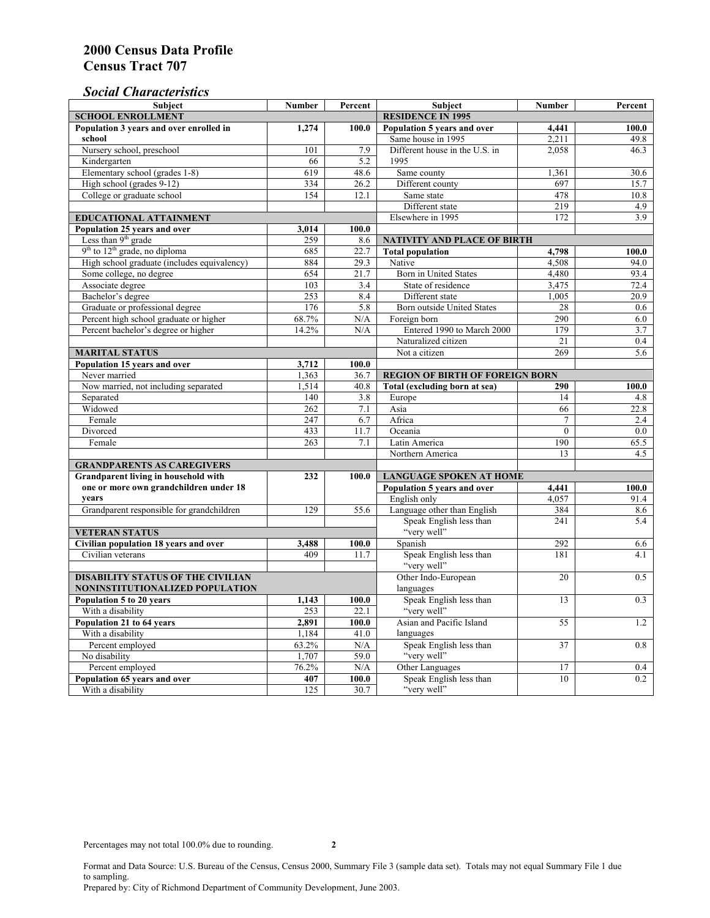### *Social Characteristics*

| <b>Subject</b>                                             | <b>Number</b>            | Percent | <b>Subject</b>                         | <b>Number</b>  | Percent    |  |
|------------------------------------------------------------|--------------------------|---------|----------------------------------------|----------------|------------|--|
| <b>SCHOOL ENROLLMENT</b>                                   | <b>RESIDENCE IN 1995</b> |         |                                        |                |            |  |
| Population 3 years and over enrolled in                    | 1,274                    | 100.0   | Population 5 years and over            | 4,441          | 100.0      |  |
| school                                                     |                          |         | Same house in 1995                     | 2,211          | 49.8       |  |
| Nursery school, preschool                                  | 101                      | 7.9     | Different house in the U.S. in         | 2.058          | 46.3       |  |
| Kindergarten                                               | 66                       | 5.2     | 1995                                   |                |            |  |
| Elementary school (grades 1-8)                             | 619                      | 48.6    | Same county                            | 1,361          | 30.6       |  |
| High school (grades 9-12)                                  | 334                      | 26.2    | Different county                       | 697            | 15.7       |  |
| College or graduate school                                 | 154                      | 12.1    | Same state                             | 478            | 10.8       |  |
|                                                            |                          |         | Different state                        | 219            | 4.9        |  |
| <b>EDUCATIONAL ATTAINMENT</b>                              |                          |         | Elsewhere in 1995                      | 172            | 3.9        |  |
| Population 25 years and over                               | 3,014                    | 100.0   |                                        |                |            |  |
| Less than 9 <sup>th</sup> grade                            | 259                      | 8.6     | NATIVITY AND PLACE OF BIRTH            |                |            |  |
| $9th$ to $12th$ grade, no diploma                          | 685                      | 22.7    | <b>Total population</b>                | 4,798          | 100.0      |  |
| High school graduate (includes equivalency)                | 884                      | 29.3    | Native                                 | 4.508          | 94.0       |  |
| Some college, no degree                                    | 654                      | 21.7    | <b>Born</b> in United States           | 4,480          | 93.4       |  |
| Associate degree                                           | 103                      | 3.4     | State of residence                     | 3,475          | 72.4       |  |
| Bachelor's degree                                          | 253                      | 8.4     | Different state                        | 1,005          | 20.9       |  |
| Graduate or professional degree                            | 176                      | 5.8     | Born outside United States             | 28             | 0.6        |  |
| Percent high school graduate or higher                     | 68.7%                    | N/A     | Foreign born                           | 290            | 6.0        |  |
| Percent bachelor's degree or higher                        | 14.2%                    | N/A     | Entered 1990 to March 2000             | 179            | 3.7        |  |
|                                                            |                          |         | Naturalized citizen                    | 21             | 0.4        |  |
| <b>MARITAL STATUS</b>                                      |                          |         | Not a citizen                          | 269            | 5.6        |  |
| Population 15 years and over                               | 3,712                    | 100.0   |                                        |                |            |  |
| Never married                                              | 1,363                    | 36.7    | <b>REGION OF BIRTH OF FOREIGN BORN</b> |                |            |  |
| Now married, not including separated                       | 1,514                    | 40.8    | Total (excluding born at sea)          | 290            | 100.0      |  |
| Separated                                                  | 140                      | 3.8     | Europe                                 | 14             | 4.8        |  |
| Widowed                                                    | 262                      | 7.1     | Asia                                   | 66             | 22.8       |  |
| Female                                                     | 247                      | 6.7     | Africa                                 | $\overline{7}$ | 2.4        |  |
| Divorced                                                   | 433                      | 11.7    | Oceania                                | $\theta$       | 0.0        |  |
| Female                                                     | 263                      | 7.1     | Latin America                          | 190            | 65.5       |  |
|                                                            |                          |         | Northern America                       | 13             | 4.5        |  |
| <b>GRANDPARENTS AS CAREGIVERS</b>                          |                          |         |                                        |                |            |  |
| Grandparent living in household with                       | 232                      | 100.0   | <b>LANGUAGE SPOKEN AT HOME</b>         |                |            |  |
| one or more own grandchildren under 18                     |                          |         | Population 5 years and over            | 4,441          | 100.0      |  |
| years                                                      | 129                      |         | English only                           | 4.057          | 91.4       |  |
| Grandparent responsible for grandchildren                  |                          | 55.6    | Language other than English            | 384<br>241     | 8.6        |  |
|                                                            |                          |         | Speak English less than<br>"very well" |                | 5.4        |  |
| <b>VETERAN STATUS</b>                                      |                          |         | Spanish                                | 292            |            |  |
| Civilian population 18 years and over<br>Civilian veterans | 3,488<br>409             | 100.0   |                                        | 181            | 6.6<br>4.1 |  |
|                                                            |                          | 11.7    | Speak English less than<br>"very well" |                |            |  |
| <b>DISABILITY STATUS OF THE CIVILIAN</b>                   |                          |         | Other Indo-European                    | 20             | 0.5        |  |
| NONINSTITUTIONALIZED POPULATION                            | languages                |         |                                        |                |            |  |
| Population 5 to 20 years                                   | 1,143                    | 100.0   | Speak English less than                | 13             | 0.3        |  |
| With a disability                                          | 253                      | 22.1    | "very well"                            |                |            |  |
| Population 21 to 64 years                                  | 2.891                    | 100.0   | Asian and Pacific Island               | 55             | 1.2        |  |
| With a disability                                          | 1,184                    | 41.0    | languages                              |                |            |  |
| Percent employed                                           | 63.2%                    | N/A     | Speak English less than                | 37             | 0.8        |  |
| No disability                                              | 1,707                    | 59.0    | "very well"                            |                |            |  |
| Percent employed                                           | 76.2%                    | N/A     | Other Languages                        | 17             | 0.4        |  |
| Population 65 years and over                               | 407                      | 100.0   | Speak English less than                | 10             | 0.2        |  |
| With a disability                                          | 125                      | 30.7    | "very well"                            |                |            |  |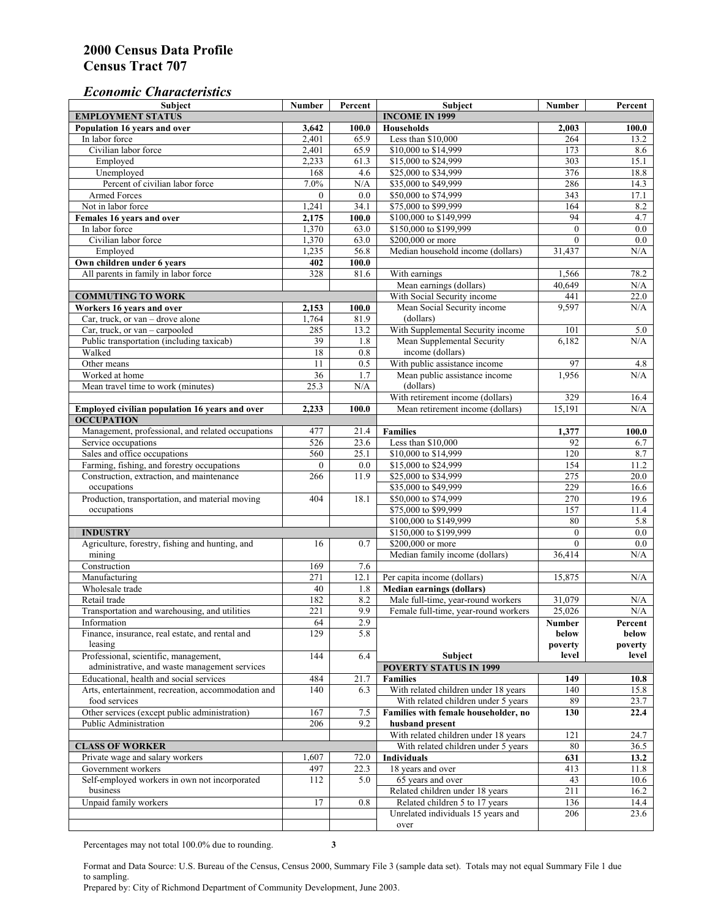#### *Economic Characteristics*

| <b>Subject</b>                                     | Number          | Percent               | Subject                              | Number           | Percent |
|----------------------------------------------------|-----------------|-----------------------|--------------------------------------|------------------|---------|
| <b>EMPLOYMENT STATUS</b>                           |                 | <b>INCOME IN 1999</b> |                                      |                  |         |
| Population 16 years and over                       | 3,642           | 100.0                 | Households                           | 2,003            | 100.0   |
| In labor force                                     | 2,401           | 65.9                  | Less than \$10,000                   | 264              | 13.2    |
| Civilian labor force                               | 2,401           | 65.9                  | \$10,000 to \$14,999                 | 173              | 8.6     |
| Employed                                           | 2,233           | 61.3                  | \$15,000 to \$24,999                 | $\overline{303}$ | 15.1    |
| Unemployed                                         | 168             | 4.6                   | \$25,000 to \$34,999                 | 376              | 18.8    |
| Percent of civilian labor force                    | 7.0%            | N/A                   | \$35,000 to \$49,999                 | 286              | 14.3    |
| Armed Forces                                       | $\mathbf{0}$    | 0.0                   | \$50,000 to \$74,999                 | 343              | 17.1    |
| Not in labor force                                 | 1,241           | 34.1                  | \$75,000 to \$99,999                 | 164              | 8.2     |
| Females 16 years and over                          | 2,175           | 100.0                 | \$100,000 to \$149,999               | 94               | 4.7     |
| In labor force                                     | 1,370           | 63.0                  | \$150,000 to \$199,999               | $\mathbf{0}$     | 0.0     |
| Civilian labor force                               | 1,370           | 63.0                  | \$200,000 or more                    | $\mathbf{0}$     | 0.0     |
| Employed                                           | 1,235           | 56.8                  | Median household income (dollars)    | 31,437           | N/A     |
| Own children under 6 years                         | 402             | 100.0                 |                                      |                  |         |
| All parents in family in labor force               | 328             | 81.6                  | With earnings                        | 1,566            | 78.2    |
|                                                    |                 |                       | Mean earnings (dollars)              | 40,649           | N/A     |
| <b>COMMUTING TO WORK</b>                           |                 |                       | With Social Security income          | 441              | 22.0    |
| Workers 16 years and over                          | 2,153           | 100.0                 | Mean Social Security income          | 9,597            | N/A     |
| Car, truck, or van – drove alone                   | 1,764           | 81.9                  | (dollars)                            |                  |         |
| Car, truck, or van - carpooled                     | 285             | 13.2                  | With Supplemental Security income    | 101              | 5.0     |
| Public transportation (including taxicab)          | 39              | 1.8                   | Mean Supplemental Security           | 6,182            | N/A     |
| Walked                                             | 18              | 0.8                   | income (dollars)                     |                  |         |
| Other means                                        | $\overline{11}$ | 0.5                   | With public assistance income        | 97               | 4.8     |
| Worked at home                                     | $\overline{36}$ | 1.7                   | Mean public assistance income        | 1,956            | N/A     |
|                                                    |                 |                       | (dollars)                            |                  |         |
| Mean travel time to work (minutes)                 | 25.3            | N/A                   |                                      |                  |         |
|                                                    |                 |                       | With retirement income (dollars)     | 329              | 16.4    |
| Employed civilian population 16 years and over     | 2,233           | 100.0                 | Mean retirement income (dollars)     | 15.191           | N/A     |
| <b>OCCUPATION</b>                                  |                 |                       |                                      |                  |         |
| Management, professional, and related occupations  | 477             | 21.4                  | <b>Families</b>                      | 1,377            | 100.0   |
| Service occupations                                | 526             | 23.6                  | Less than \$10,000                   | 92               | 6.7     |
| Sales and office occupations                       | 560             | 25.1                  | \$10,000 to \$14,999                 | 120              | 8.7     |
| Farming, fishing, and forestry occupations         | $\mathbf{0}$    | 0.0                   | \$15,000 to \$24,999                 | 154              | 11.2    |
| Construction, extraction, and maintenance          | 266             | 11.9                  | \$25,000 to \$34,999                 | 275              | 20.0    |
| occupations                                        |                 |                       | \$35,000 to \$49,999                 | 229              | 16.6    |
| Production, transportation, and material moving    | 404             | 18.1                  | \$50,000 to \$74,999                 | 270              | 19.6    |
| occupations                                        |                 |                       | \$75,000 to \$99,999                 | 157              | 11.4    |
|                                                    |                 |                       | \$100,000 to \$149,999               | 80               | 5.8     |
| <b>INDUSTRY</b>                                    |                 |                       | \$150,000 to \$199,999               | $\mathbf{0}$     | $0.0\,$ |
| Agriculture, forestry, fishing and hunting, and    | 16              | 0.7                   | \$200,000 or more                    | $\theta$         | 0.0     |
| mining                                             |                 |                       | Median family income (dollars)       | 36,414           | N/A     |
| Construction                                       | 169             | 7.6                   |                                      |                  |         |
| Manufacturing                                      | 271             | 12.1                  | Per capita income (dollars)          | 15,875           | N/A     |
| Wholesale trade                                    | 40              | 1.8                   | <b>Median earnings (dollars)</b>     |                  |         |
| Retail trade                                       | 182             | 8.2                   | Male full-time, year-round workers   | 31,079           | N/A     |
| Transportation and warehousing, and utilities      | 221             | 9.9                   | Female full-time, year-round workers | 25,026           | N/A     |
| Information                                        | 64              | 2.9                   |                                      | Number           | Percent |
| Finance, insurance, real estate, and rental and    | 129             | 5.8                   |                                      | below            | below   |
| leasing                                            |                 |                       |                                      | poverty          | poverty |
| Professional, scientific, management,              | 144             | 6.4                   | Subject                              | level            | level   |
| administrative, and waste management services      |                 |                       | <b>POVERTY STATUS IN 1999</b>        |                  |         |
| Educational, health and social services            | 484             | 21.7                  | <b>Families</b>                      | 149              | 10.8    |
| Arts, entertainment, recreation, accommodation and | 140             | 6.3                   | With related children under 18 years | 140              | 15.8    |
| food services                                      |                 |                       | With related children under 5 years  | 89               | 23.7    |
| Other services (except public administration)      | 167             | 7.5                   | Families with female householder, no | 130              | 22.4    |
| Public Administration                              | 206             | 9.2                   | husband present                      |                  |         |
|                                                    |                 |                       | With related children under 18 years | 121              | 24.7    |
| <b>CLASS OF WORKER</b>                             |                 |                       | With related children under 5 years  | 80               | 36.5    |
| Private wage and salary workers                    | 1,607           | 72.0                  | Individuals                          | 631              | 13.2    |
| Government workers                                 | 497             | 22.3                  | 18 years and over                    | 413              | 11.8    |
| Self-employed workers in own not incorporated      | 112             | 5.0                   | 65 years and over                    | 43               | 10.6    |
| business                                           |                 |                       | Related children under 18 years      | 211              | 16.2    |
| Unpaid family workers                              | 17              | 0.8                   | Related children 5 to 17 years       | 136              | 14.4    |
|                                                    |                 |                       | Unrelated individuals 15 years and   | 206              | 23.6    |
|                                                    |                 |                       |                                      |                  |         |
|                                                    |                 |                       | over                                 |                  |         |

Percentages may not total 100.0% due to rounding. **3** 

Format and Data Source: U.S. Bureau of the Census, Census 2000, Summary File 3 (sample data set). Totals may not equal Summary File 1 due to sampling.

Prepared by: City of Richmond Department of Community Development, June 2003.